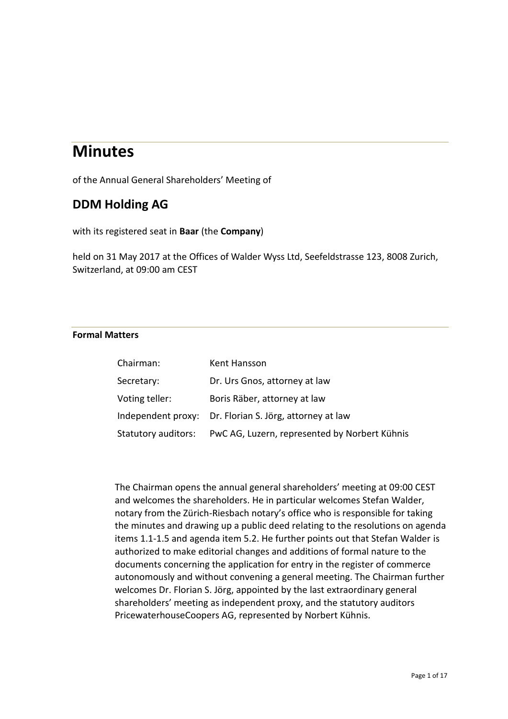# **Minutes**

of the Annual General Shareholders' Meeting of

## **DDM Holding AG**

with its registered seat in **Baar** (the **Company**)

held on 31 May 2017 at the Offices of Walder Wyss Ltd, Seefeldstrasse 123, 8008 Zurich, Switzerland, at 09:00 am CEST

### **Formal Matters**

| Chairman:           | Kent Hansson                                            |
|---------------------|---------------------------------------------------------|
| Secretary:          | Dr. Urs Gnos, attorney at law                           |
| Voting teller:      | Boris Räber, attorney at law                            |
|                     | Independent proxy: Dr. Florian S. Jörg, attorney at law |
| Statutory auditors: | PwC AG, Luzern, represented by Norbert Kühnis           |

The Chairman opens the annual general shareholders' meeting at 09:00 CEST and welcomes the shareholders. He in particular welcomes Stefan Walder, notary from the Zürich-Riesbach notary's office who is responsible for taking the minutes and drawing up a public deed relating to the resolutions on agenda items 1.1-1.5 and agenda item 5.2. He further points out that Stefan Walder is authorized to make editorial changes and additions of formal nature to the documents concerning the application for entry in the register of commerce autonomously and without convening a general meeting. The Chairman further welcomes Dr. Florian S. Jörg, appointed by the last extraordinary general shareholders' meeting as independent proxy, and the statutory auditors PricewaterhouseCoopers AG, represented by Norbert Kühnis.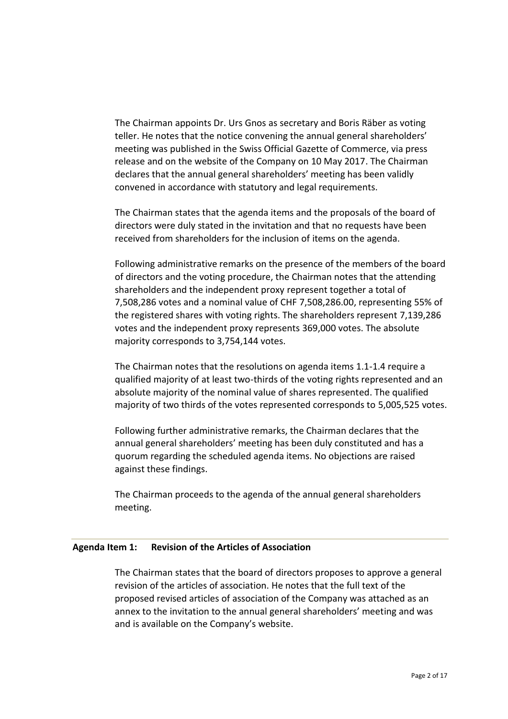The Chairman appoints Dr. Urs Gnos as secretary and Boris Räber as voting teller. He notes that the notice convening the annual general shareholders' meeting was published in the Swiss Official Gazette of Commerce, via press release and on the website of the Company on 10 May 2017. The Chairman declares that the annual general shareholders' meeting has been validly convened in accordance with statutory and legal requirements.

The Chairman states that the agenda items and the proposals of the board of directors were duly stated in the invitation and that no requests have been received from shareholders for the inclusion of items on the agenda.

Following administrative remarks on the presence of the members of the board of directors and the voting procedure, the Chairman notes that the attending shareholders and the independent proxy represent together a total of 7,508,286 votes and a nominal value of CHF 7,508,286.00, representing 55% of the registered shares with voting rights. The shareholders represent 7,139,286 votes and the independent proxy represents 369,000 votes. The absolute majority corresponds to 3,754,144 votes.

The Chairman notes that the resolutions on agenda items 1.1-1.4 require a qualified majority of at least two-thirds of the voting rights represented and an absolute majority of the nominal value of shares represented. The qualified majority of two thirds of the votes represented corresponds to 5,005,525 votes.

Following further administrative remarks, the Chairman declares that the annual general shareholders' meeting has been duly constituted and has a quorum regarding the scheduled agenda items. No objections are raised against these findings.

The Chairman proceeds to the agenda of the annual general shareholders meeting.

#### **Agenda Item 1: Revision of the Articles of Association**

The Chairman states that the board of directors proposes to approve a general revision of the articles of association. He notes that the full text of the proposed revised articles of association of the Company was attached as an annex to the invitation to the annual general shareholders' meeting and was and is available on the Company's website.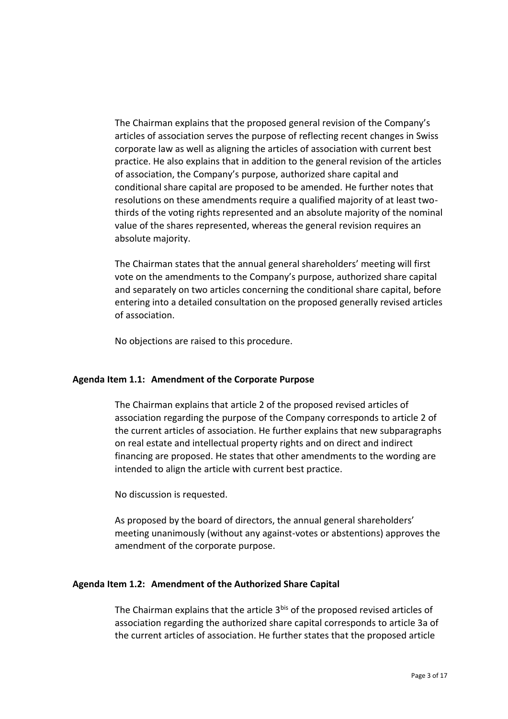The Chairman explains that the proposed general revision of the Company's articles of association serves the purpose of reflecting recent changes in Swiss corporate law as well as aligning the articles of association with current best practice. He also explains that in addition to the general revision of the articles of association, the Company's purpose, authorized share capital and conditional share capital are proposed to be amended. He further notes that resolutions on these amendments require a qualified majority of at least twothirds of the voting rights represented and an absolute majority of the nominal value of the shares represented, whereas the general revision requires an absolute majority.

The Chairman states that the annual general shareholders' meeting will first vote on the amendments to the Company's purpose, authorized share capital and separately on two articles concerning the conditional share capital, before entering into a detailed consultation on the proposed generally revised articles of association.

No objections are raised to this procedure.

#### **Agenda Item 1.1: Amendment of the Corporate Purpose**

The Chairman explains that article 2 of the proposed revised articles of association regarding the purpose of the Company corresponds to article 2 of the current articles of association. He further explains that new subparagraphs on real estate and intellectual property rights and on direct and indirect financing are proposed. He states that other amendments to the wording are intended to align the article with current best practice.

No discussion is requested.

As proposed by the board of directors, the annual general shareholders' meeting unanimously (without any against-votes or abstentions) approves the amendment of the corporate purpose.

#### **Agenda Item 1.2: Amendment of the Authorized Share Capital**

The Chairman explains that the article 3<sup>bis</sup> of the proposed revised articles of association regarding the authorized share capital corresponds to article 3a of the current articles of association. He further states that the proposed article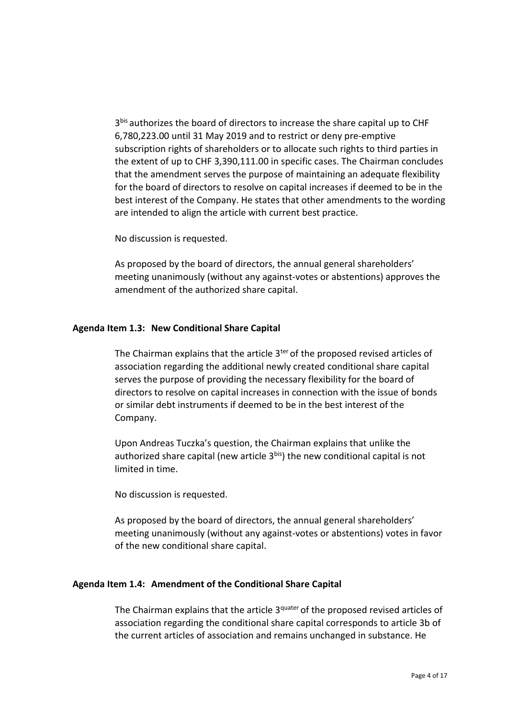3 bis authorizes the board of directors to increase the share capital up to CHF 6,780,223.00 until 31 May 2019 and to restrict or deny pre-emptive subscription rights of shareholders or to allocate such rights to third parties in the extent of up to CHF 3,390,111.00 in specific cases. The Chairman concludes that the amendment serves the purpose of maintaining an adequate flexibility for the board of directors to resolve on capital increases if deemed to be in the best interest of the Company. He states that other amendments to the wording are intended to align the article with current best practice.

No discussion is requested.

As proposed by the board of directors, the annual general shareholders' meeting unanimously (without any against-votes or abstentions) approves the amendment of the authorized share capital.

#### **Agenda Item 1.3: New Conditional Share Capital**

The Chairman explains that the article 3<sup>ter</sup> of the proposed revised articles of association regarding the additional newly created conditional share capital serves the purpose of providing the necessary flexibility for the board of directors to resolve on capital increases in connection with the issue of bonds or similar debt instruments if deemed to be in the best interest of the Company.

Upon Andreas Tuczka's question, the Chairman explains that unlike the authorized share capital (new article  $3^{bis}$ ) the new conditional capital is not limited in time.

No discussion is requested.

As proposed by the board of directors, the annual general shareholders' meeting unanimously (without any against-votes or abstentions) votes in favor of the new conditional share capital.

#### **Agenda Item 1.4: Amendment of the Conditional Share Capital**

The Chairman explains that the article 3<sup>quater</sup> of the proposed revised articles of association regarding the conditional share capital corresponds to article 3b of the current articles of association and remains unchanged in substance. He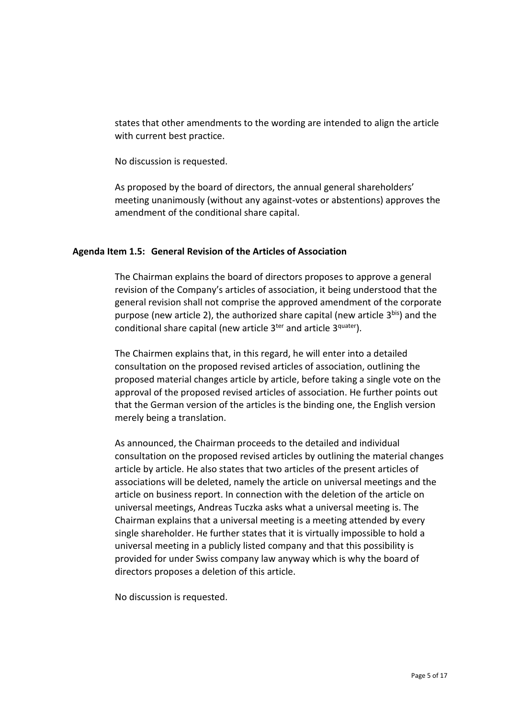states that other amendments to the wording are intended to align the article with current best practice.

No discussion is requested.

As proposed by the board of directors, the annual general shareholders' meeting unanimously (without any against-votes or abstentions) approves the amendment of the conditional share capital.

#### **Agenda Item 1.5: General Revision of the Articles of Association**

The Chairman explains the board of directors proposes to approve a general revision of the Company's articles of association, it being understood that the general revision shall not comprise the approved amendment of the corporate purpose (new article 2), the authorized share capital (new article 3<sup>bis</sup>) and the conditional share capital (new article 3<sup>ter</sup> and article 3<sup>quater</sup>).

The Chairmen explains that, in this regard, he will enter into a detailed consultation on the proposed revised articles of association, outlining the proposed material changes article by article, before taking a single vote on the approval of the proposed revised articles of association. He further points out that the German version of the articles is the binding one, the English version merely being a translation.

As announced, the Chairman proceeds to the detailed and individual consultation on the proposed revised articles by outlining the material changes article by article. He also states that two articles of the present articles of associations will be deleted, namely the article on universal meetings and the article on business report. In connection with the deletion of the article on universal meetings, Andreas Tuczka asks what a universal meeting is. The Chairman explains that a universal meeting is a meeting attended by every single shareholder. He further states that it is virtually impossible to hold a universal meeting in a publicly listed company and that this possibility is provided for under Swiss company law anyway which is why the board of directors proposes a deletion of this article.

No discussion is requested.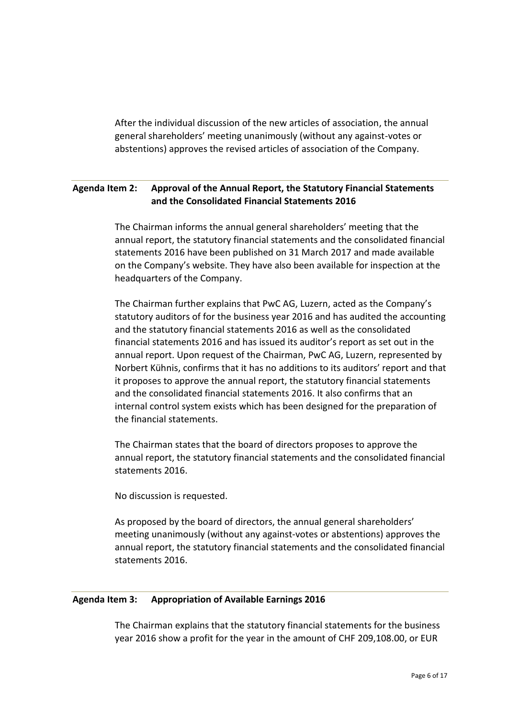After the individual discussion of the new articles of association, the annual general shareholders' meeting unanimously (without any against-votes or abstentions) approves the revised articles of association of the Company.

## **Agenda Item 2: Approval of the Annual Report, the Statutory Financial Statements and the Consolidated Financial Statements 2016**

The Chairman informs the annual general shareholders' meeting that the annual report, the statutory financial statements and the consolidated financial statements 2016 have been published on 31 March 2017 and made available on the Company's website. They have also been available for inspection at the headquarters of the Company.

The Chairman further explains that PwC AG, Luzern, acted as the Company's statutory auditors of for the business year 2016 and has audited the accounting and the statutory financial statements 2016 as well as the consolidated financial statements 2016 and has issued its auditor's report as set out in the annual report. Upon request of the Chairman, PwC AG, Luzern, represented by Norbert Kühnis, confirms that it has no additions to its auditors' report and that it proposes to approve the annual report, the statutory financial statements and the consolidated financial statements 2016. It also confirms that an internal control system exists which has been designed for the preparation of the financial statements.

The Chairman states that the board of directors proposes to approve the annual report, the statutory financial statements and the consolidated financial statements 2016.

No discussion is requested.

As proposed by the board of directors, the annual general shareholders' meeting unanimously (without any against-votes or abstentions) approves the annual report, the statutory financial statements and the consolidated financial statements 2016.

#### **Agenda Item 3: Appropriation of Available Earnings 2016**

The Chairman explains that the statutory financial statements for the business year 2016 show a profit for the year in the amount of CHF 209,108.00, or EUR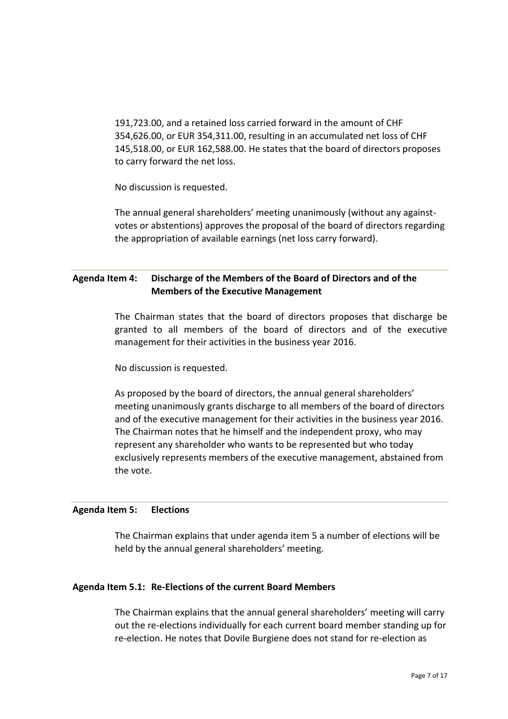191,723.00, and a retained loss carried forward in the amount of CHF 354,626.00, or EUR 354,311.00, resulting in an accumulated net loss of CHF 145,518.00, or EUR 162,588.00. He states that the board of directors proposes to carry forward the net loss.

No discussion is requested.

The annual general shareholders' meeting unanimously (without any againstvotes or abstentions) approves the proposal of the board of directors regarding the appropriation of available earnings (net loss carry forward).

## **Agenda Item 4: Discharge of the Members of the Board of Directors and of the Members of the Executive Management**

The Chairman states that the board of directors proposes that discharge be granted to all members of the board of directors and of the executive management for their activities in the business year 2016.

No discussion is requested.

As proposed by the board of directors, the annual general shareholders' meeting unanimously grants discharge to all members of the board of directors and of the executive management for their activities in the business year 2016. The Chairman notes that he himself and the independent proxy, who may represent any shareholder who wants to be represented but who today exclusively represents members of the executive management, abstained from the vote.

#### **Agenda Item 5: Elections**

The Chairman explains that under agenda item 5 a number of elections will be held by the annual general shareholders' meeting.

#### **Agenda Item 5.1: Re-Elections of the current Board Members**

The Chairman explains that the annual general shareholders' meeting will carry out the re-elections individually for each current board member standing up for re-election. He notes that Dovile Burgiene does not stand for re-election as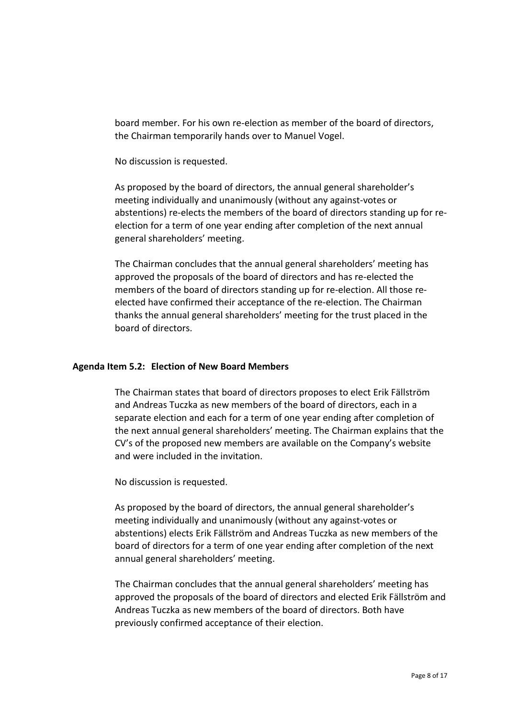board member. For his own re-election as member of the board of directors, the Chairman temporarily hands over to Manuel Vogel.

No discussion is requested.

As proposed by the board of directors, the annual general shareholder's meeting individually and unanimously (without any against-votes or abstentions) re-elects the members of the board of directors standing up for reelection for a term of one year ending after completion of the next annual general shareholders' meeting.

The Chairman concludes that the annual general shareholders' meeting has approved the proposals of the board of directors and has re-elected the members of the board of directors standing up for re-election. All those reelected have confirmed their acceptance of the re-election. The Chairman thanks the annual general shareholders' meeting for the trust placed in the board of directors.

#### **Agenda Item 5.2: Election of New Board Members**

The Chairman states that board of directors proposes to elect Erik Fällström and Andreas Tuczka as new members of the board of directors, each in a separate election and each for a term of one year ending after completion of the next annual general shareholders' meeting. The Chairman explains that the CV's of the proposed new members are available on the Company's website and were included in the invitation.

No discussion is requested.

As proposed by the board of directors, the annual general shareholder's meeting individually and unanimously (without any against-votes or abstentions) elects Erik Fällström and Andreas Tuczka as new members of the board of directors for a term of one year ending after completion of the next annual general shareholders' meeting.

The Chairman concludes that the annual general shareholders' meeting has approved the proposals of the board of directors and elected Erik Fällström and Andreas Tuczka as new members of the board of directors. Both have previously confirmed acceptance of their election.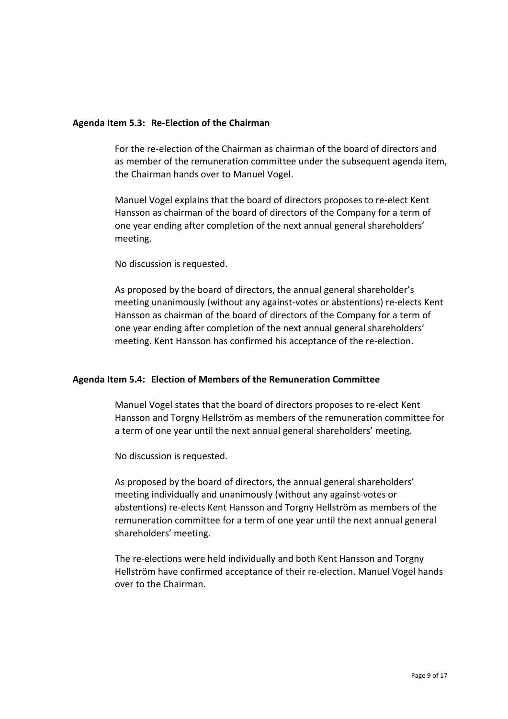#### **Agenda Item 5.3: Re-Election of the Chairman**

For the re-election of the Chairman as chairman of the board of directors and as member of the remuneration committee under the subsequent agenda item, the Chairman hands over to Manuel Vogel.

Manuel Vogel explains that the board of directors proposes to re-elect Kent Hansson as chairman of the board of directors of the Company for a term of one year ending after completion of the next annual general shareholders' meeting.

No discussion is requested.

As proposed by the board of directors, the annual general shareholder's meeting unanimously (without any against-votes or abstentions) re-elects Kent Hansson as chairman of the board of directors of the Company for a term of one year ending after completion of the next annual general shareholders' meeting. Kent Hansson has confirmed his acceptance of the re-election.

#### **Agenda Item 5.4: Election of Members of the Remuneration Committee**

Manuel Vogel states that the board of directors proposes to re-elect Kent Hansson and Torgny Hellström as members of the remuneration committee for a term of one year until the next annual general shareholders' meeting.

No discussion is requested.

As proposed by the board of directors, the annual general shareholders' meeting individually and unanimously (without any against-votes or abstentions) re-elects Kent Hansson and Torgny Hellström as members of the remuneration committee for a term of one year until the next annual general shareholders' meeting.

The re-elections were held individually and both Kent Hansson and Torgny Hellström have confirmed acceptance of their re-election. Manuel Vogel hands over to the Chairman.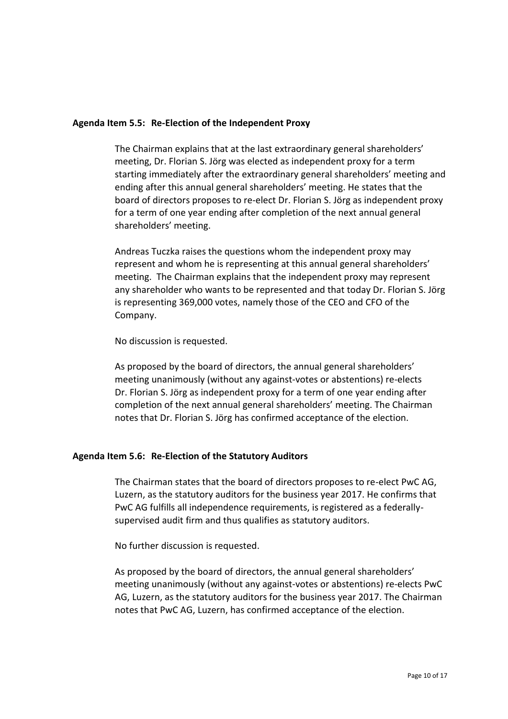#### **Agenda Item 5.5: Re-Election of the Independent Proxy**

The Chairman explains that at the last extraordinary general shareholders' meeting, Dr. Florian S. Jörg was elected as independent proxy for a term starting immediately after the extraordinary general shareholders' meeting and ending after this annual general shareholders' meeting. He states that the board of directors proposes to re-elect Dr. Florian S. Jörg as independent proxy for a term of one year ending after completion of the next annual general shareholders' meeting.

Andreas Tuczka raises the questions whom the independent proxy may represent and whom he is representing at this annual general shareholders' meeting. The Chairman explains that the independent proxy may represent any shareholder who wants to be represented and that today Dr. Florian S. Jörg is representing 369,000 votes, namely those of the CEO and CFO of the Company.

No discussion is requested.

As proposed by the board of directors, the annual general shareholders' meeting unanimously (without any against-votes or abstentions) re-elects Dr. Florian S. Jörg as independent proxy for a term of one year ending after completion of the next annual general shareholders' meeting. The Chairman notes that Dr. Florian S. Jörg has confirmed acceptance of the election.

#### **Agenda Item 5.6: Re-Election of the Statutory Auditors**

The Chairman states that the board of directors proposes to re-elect PwC AG, Luzern, as the statutory auditors for the business year 2017. He confirms that PwC AG fulfills all independence requirements, is registered as a federallysupervised audit firm and thus qualifies as statutory auditors.

No further discussion is requested.

As proposed by the board of directors, the annual general shareholders' meeting unanimously (without any against-votes or abstentions) re-elects PwC AG, Luzern, as the statutory auditors for the business year 2017. The Chairman notes that PwC AG, Luzern, has confirmed acceptance of the election.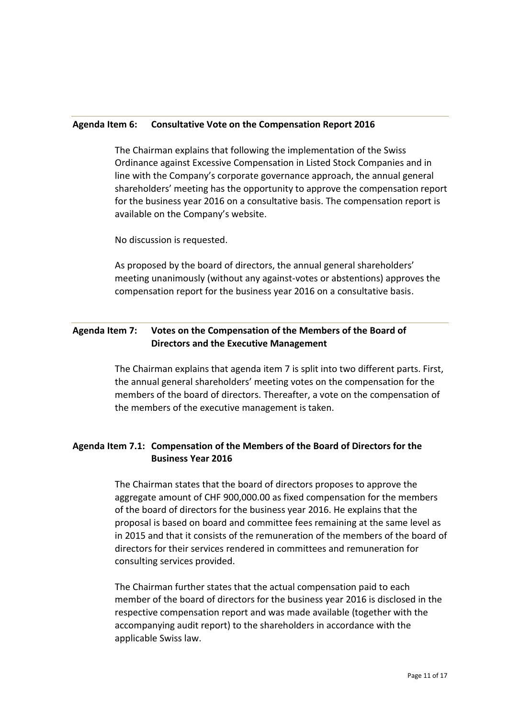#### **Agenda Item 6: Consultative Vote on the Compensation Report 2016**

The Chairman explains that following the implementation of the Swiss Ordinance against Excessive Compensation in Listed Stock Companies and in line with the Company's corporate governance approach, the annual general shareholders' meeting has the opportunity to approve the compensation report for the business year 2016 on a consultative basis. The compensation report is available on the Company's website.

No discussion is requested.

As proposed by the board of directors, the annual general shareholders' meeting unanimously (without any against-votes or abstentions) approves the compensation report for the business year 2016 on a consultative basis.

## **Agenda Item 7: Votes on the Compensation of the Members of the Board of Directors and the Executive Management**

The Chairman explains that agenda item 7 is split into two different parts. First, the annual general shareholders' meeting votes on the compensation for the members of the board of directors. Thereafter, a vote on the compensation of the members of the executive management is taken.

## **Agenda Item 7.1: Compensation of the Members of the Board of Directors for the Business Year 2016**

The Chairman states that the board of directors proposes to approve the aggregate amount of CHF 900,000.00 as fixed compensation for the members of the board of directors for the business year 2016. He explains that the proposal is based on board and committee fees remaining at the same level as in 2015 and that it consists of the remuneration of the members of the board of directors for their services rendered in committees and remuneration for consulting services provided.

The Chairman further states that the actual compensation paid to each member of the board of directors for the business year 2016 is disclosed in the respective compensation report and was made available (together with the accompanying audit report) to the shareholders in accordance with the applicable Swiss law.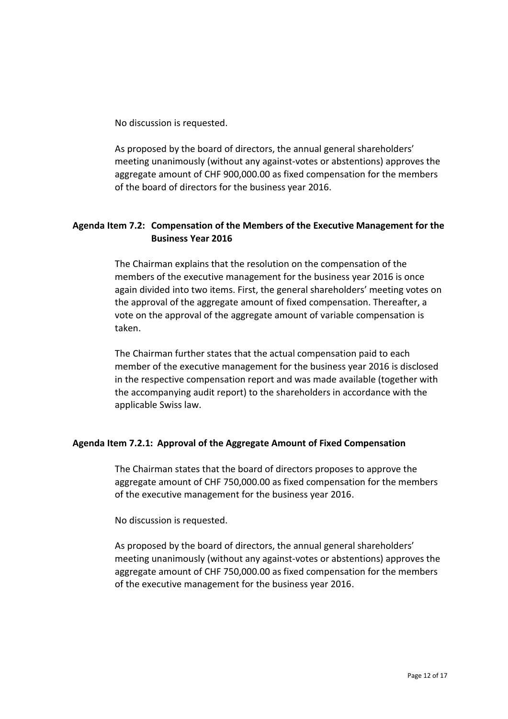No discussion is requested.

As proposed by the board of directors, the annual general shareholders' meeting unanimously (without any against-votes or abstentions) approves the aggregate amount of CHF 900,000.00 as fixed compensation for the members of the board of directors for the business year 2016.

## **Agenda Item 7.2: Compensation of the Members of the Executive Management for the Business Year 2016**

The Chairman explains that the resolution on the compensation of the members of the executive management for the business year 2016 is once again divided into two items. First, the general shareholders' meeting votes on the approval of the aggregate amount of fixed compensation. Thereafter, a vote on the approval of the aggregate amount of variable compensation is taken.

The Chairman further states that the actual compensation paid to each member of the executive management for the business year 2016 is disclosed in the respective compensation report and was made available (together with the accompanying audit report) to the shareholders in accordance with the applicable Swiss law.

## **Agenda Item 7.2.1: Approval of the Aggregate Amount of Fixed Compensation**

The Chairman states that the board of directors proposes to approve the aggregate amount of CHF 750,000.00 as fixed compensation for the members of the executive management for the business year 2016.

No discussion is requested.

As proposed by the board of directors, the annual general shareholders' meeting unanimously (without any against-votes or abstentions) approves the aggregate amount of CHF 750,000.00 as fixed compensation for the members of the executive management for the business year 2016.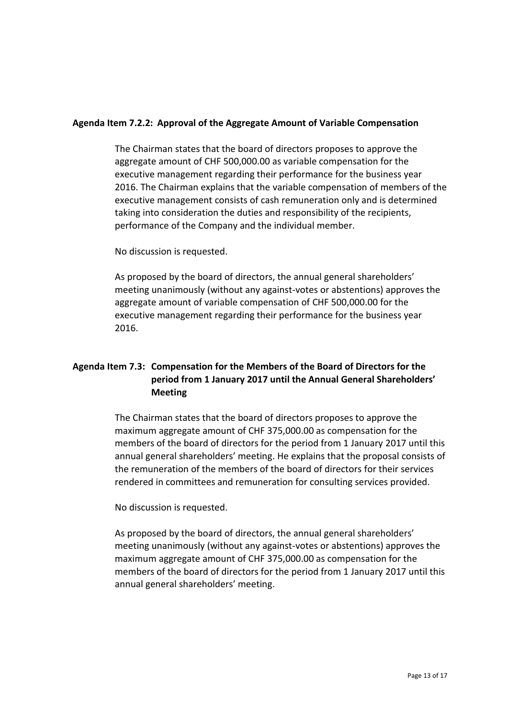#### **Agenda Item 7.2.2: Approval of the Aggregate Amount of Variable Compensation**

The Chairman states that the board of directors proposes to approve the aggregate amount of CHF 500,000.00 as variable compensation for the executive management regarding their performance for the business year 2016. The Chairman explains that the variable compensation of members of the executive management consists of cash remuneration only and is determined taking into consideration the duties and responsibility of the recipients, performance of the Company and the individual member.

No discussion is requested.

As proposed by the board of directors, the annual general shareholders' meeting unanimously (without any against-votes or abstentions) approves the aggregate amount of variable compensation of CHF 500,000.00 for the executive management regarding their performance for the business year 2016.

## **Agenda Item 7.3: Compensation for the Members of the Board of Directors for the period from 1 January 2017 until the Annual General Shareholders' Meeting**

The Chairman states that the board of directors proposes to approve the maximum aggregate amount of CHF 375,000.00 as compensation for the members of the board of directors for the period from 1 January 2017 until this annual general shareholders' meeting. He explains that the proposal consists of the remuneration of the members of the board of directors for their services rendered in committees and remuneration for consulting services provided.

No discussion is requested.

As proposed by the board of directors, the annual general shareholders' meeting unanimously (without any against-votes or abstentions) approves the maximum aggregate amount of CHF 375,000.00 as compensation for the members of the board of directors for the period from 1 January 2017 until this annual general shareholders' meeting.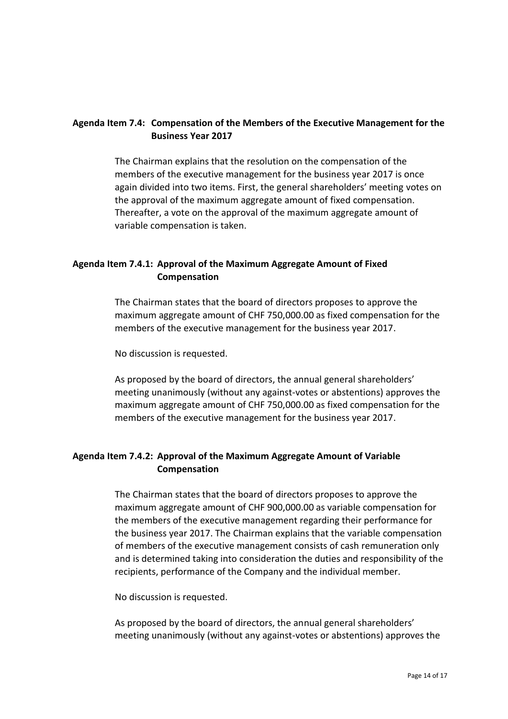## **Agenda Item 7.4: Compensation of the Members of the Executive Management for the Business Year 2017**

The Chairman explains that the resolution on the compensation of the members of the executive management for the business year 2017 is once again divided into two items. First, the general shareholders' meeting votes on the approval of the maximum aggregate amount of fixed compensation. Thereafter, a vote on the approval of the maximum aggregate amount of variable compensation is taken.

## **Agenda Item 7.4.1: Approval of the Maximum Aggregate Amount of Fixed Compensation**

The Chairman states that the board of directors proposes to approve the maximum aggregate amount of CHF 750,000.00 as fixed compensation for the members of the executive management for the business year 2017.

No discussion is requested.

As proposed by the board of directors, the annual general shareholders' meeting unanimously (without any against-votes or abstentions) approves the maximum aggregate amount of CHF 750,000.00 as fixed compensation for the members of the executive management for the business year 2017.

## **Agenda Item 7.4.2: Approval of the Maximum Aggregate Amount of Variable Compensation**

The Chairman states that the board of directors proposes to approve the maximum aggregate amount of CHF 900,000.00 as variable compensation for the members of the executive management regarding their performance for the business year 2017. The Chairman explains that the variable compensation of members of the executive management consists of cash remuneration only and is determined taking into consideration the duties and responsibility of the recipients, performance of the Company and the individual member.

No discussion is requested.

As proposed by the board of directors, the annual general shareholders' meeting unanimously (without any against-votes or abstentions) approves the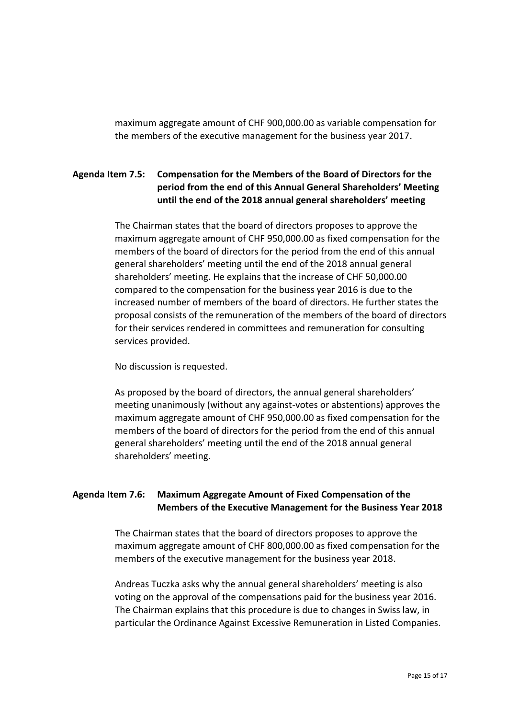maximum aggregate amount of CHF 900,000.00 as variable compensation for the members of the executive management for the business year 2017.

## **Agenda Item 7.5: Compensation for the Members of the Board of Directors for the period from the end of this Annual General Shareholders' Meeting until the end of the 2018 annual general shareholders' meeting**

The Chairman states that the board of directors proposes to approve the maximum aggregate amount of CHF 950,000.00 as fixed compensation for the members of the board of directors for the period from the end of this annual general shareholders' meeting until the end of the 2018 annual general shareholders' meeting. He explains that the increase of CHF 50,000.00 compared to the compensation for the business year 2016 is due to the increased number of members of the board of directors. He further states the proposal consists of the remuneration of the members of the board of directors for their services rendered in committees and remuneration for consulting services provided.

No discussion is requested.

As proposed by the board of directors, the annual general shareholders' meeting unanimously (without any against-votes or abstentions) approves the maximum aggregate amount of CHF 950,000.00 as fixed compensation for the members of the board of directors for the period from the end of this annual general shareholders' meeting until the end of the 2018 annual general shareholders' meeting.

## **Agenda Item 7.6: Maximum Aggregate Amount of Fixed Compensation of the Members of the Executive Management for the Business Year 2018**

The Chairman states that the board of directors proposes to approve the maximum aggregate amount of CHF 800,000.00 as fixed compensation for the members of the executive management for the business year 2018.

Andreas Tuczka asks why the annual general shareholders' meeting is also voting on the approval of the compensations paid for the business year 2016. The Chairman explains that this procedure is due to changes in Swiss law, in particular the Ordinance Against Excessive Remuneration in Listed Companies.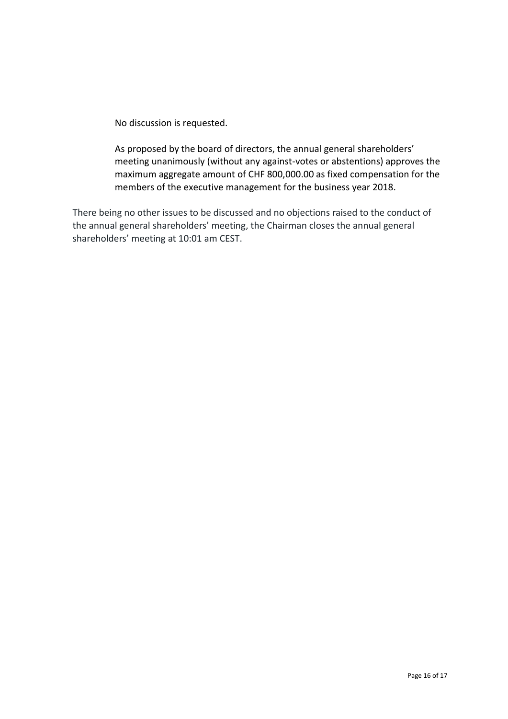No discussion is requested.

As proposed by the board of directors, the annual general shareholders' meeting unanimously (without any against-votes or abstentions) approves the maximum aggregate amount of CHF 800,000.00 as fixed compensation for the members of the executive management for the business year 2018.

There being no other issues to be discussed and no objections raised to the conduct of the annual general shareholders' meeting, the Chairman closes the annual general shareholders' meeting at 10:01 am CEST.